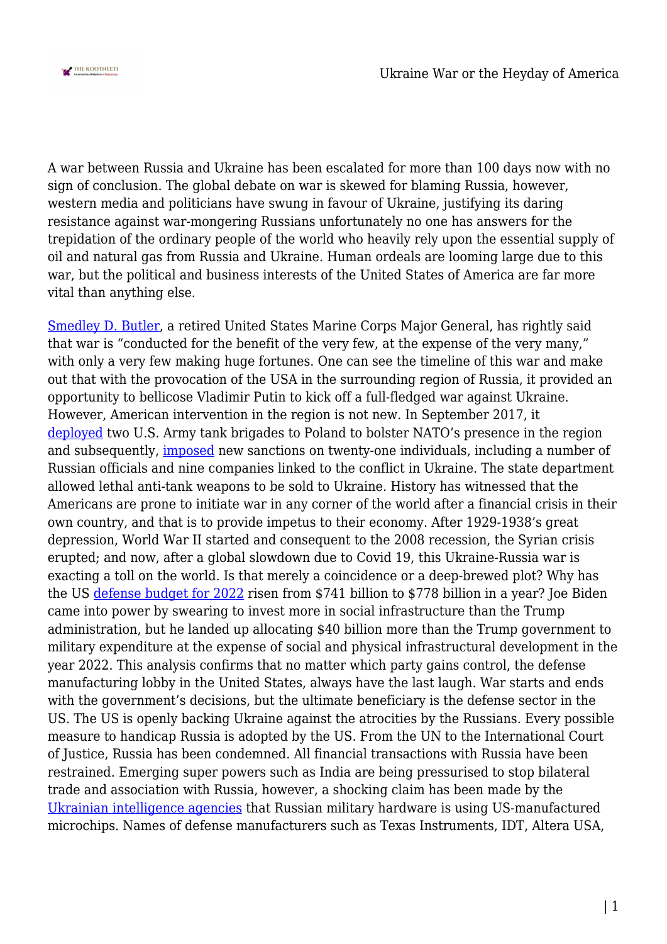

A war between Russia and Ukraine has been escalated for more than 100 days now with no sign of conclusion. The global debate on war is skewed for blaming Russia, however, western media and politicians have swung in favour of Ukraine, justifying its daring resistance against war-mongering Russians unfortunately no one has answers for the trepidation of the ordinary people of the world who heavily rely upon the essential supply of oil and natural gas from Russia and Ukraine. Human ordeals are looming large due to this war, but the political and business interests of the United States of America are far more vital than anything else.

[Smedley D. Butler,](https://www.trtworld.com/opinion/weapons-lobbying-in-the-us-is-corruption-by-another-name-54246) a retired United States Marine Corps Major General, has rightly said that war is "conducted for the benefit of the very few, at the expense of the very many," with only a very few making huge fortunes. One can see the timeline of this war and make out that with the provocation of the USA in the surrounding region of Russia, it provided an opportunity to bellicose Vladimir Putin to kick off a full-fledged war against Ukraine. However, American intervention in the region is not new. In September 2017, it [deployed](https://www.newsweek.com/us-army-sends-two-tank-brigades-europe-amid-russia-tensions-664258) two U.S. Army tank brigades to Poland to bolster NATO's presence in the region and subsequently, [imposed](https://www.cfr.org/global-conflict-tracker/conflict/conflict-ukraine) new sanctions on twenty-one individuals, including a number of Russian officials and nine companies linked to the conflict in Ukraine. The state department allowed lethal anti-tank weapons to be sold to Ukraine. History has witnessed that the Americans are prone to initiate war in any corner of the world after a financial crisis in their own country, and that is to provide impetus to their economy. After 1929-1938's great depression, World War II started and consequent to the 2008 recession, the Syrian crisis erupted; and now, after a global slowdown due to Covid 19, this Ukraine-Russia war is exacting a toll on the world. Is that merely a coincidence or a deep-brewed plot? Why has the US [defense budget for 2022](https://jacobin.com/2021/12/joe-biden-military-industrial-complex-new-cold-war-china-defense-strategy) risen from \$741 billion to \$778 billion in a year? Joe Biden came into power by swearing to invest more in social infrastructure than the Trump administration, but he landed up allocating \$40 billion more than the Trump government to military expenditure at the expense of social and physical infrastructural development in the year 2022. This analysis confirms that no matter which party gains control, the defense manufacturing lobby in the United States, always have the last laugh. War starts and ends with the government's decisions, but the ultimate beneficiary is the defense sector in the US. The US is openly backing Ukraine against the atrocities by the Russians. Every possible measure to handicap Russia is adopted by the US. From the UN to the International Court of Justice, Russia has been condemned. All financial transactions with Russia have been restrained. Emerging super powers such as India are being pressurised to stop bilateral trade and association with Russia, however, a shocking claim has been made by the [Ukrainian intelligence agencies](https://eurasiantimes.com/russias-most-advanced-weapons-american-component/) that Russian military hardware is using US-manufactured microchips. Names of defense manufacturers such as Texas Instruments, IDT, Altera USA,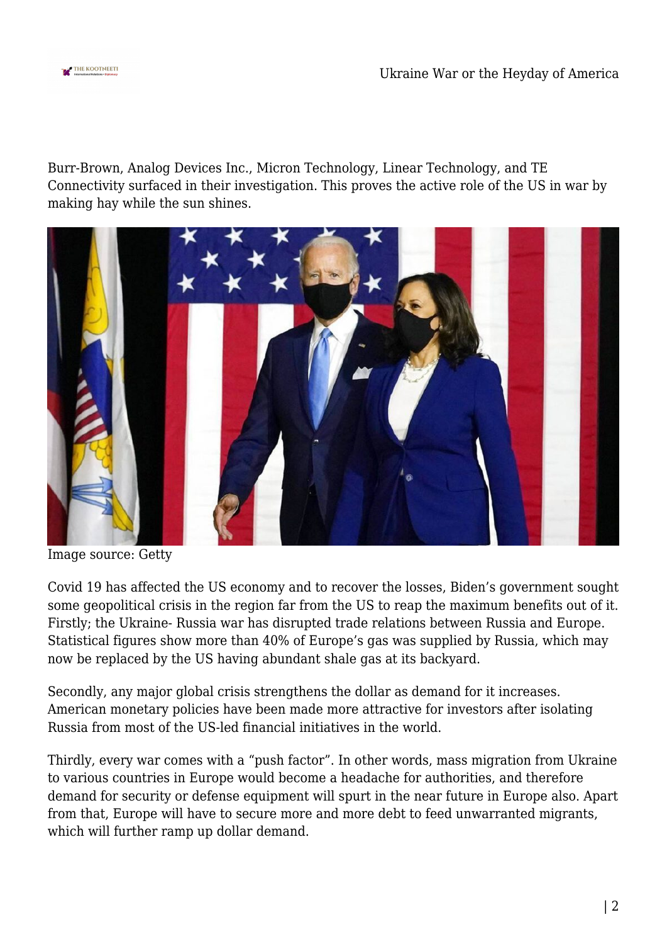

Burr-Brown, Analog Devices Inc., Micron Technology, Linear Technology, and TE Connectivity surfaced in their investigation. This proves the active role of the US in war by making hay while the sun shines.



Image source: Getty

Covid 19 has affected the US economy and to recover the losses, Biden's government sought some geopolitical crisis in the region far from the US to reap the maximum benefits out of it. Firstly; the Ukraine- Russia war has disrupted trade relations between Russia and Europe. Statistical figures show more than 40% of Europe's gas was supplied by Russia, which may now be replaced by the US having abundant shale gas at its backyard.

Secondly, any major global crisis strengthens the dollar as demand for it increases. American monetary policies have been made more attractive for investors after isolating Russia from most of the US-led financial initiatives in the world.

Thirdly, every war comes with a "push factor". In other words, mass migration from Ukraine to various countries in Europe would become a headache for authorities, and therefore demand for security or defense equipment will spurt in the near future in Europe also. Apart from that, Europe will have to secure more and more debt to feed unwarranted migrants, which will further ramp up dollar demand.